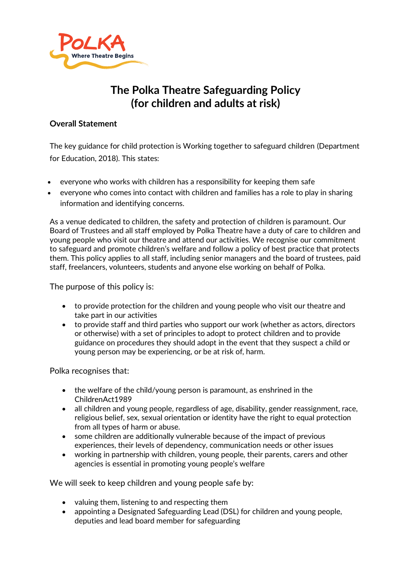

# **The Polka Theatre Safeguarding Policy (for children and adults at risk)**

### **Overall Statement**

The [key guidance for child protection is Working together to safeguard children](https://assets.publishing.service.gov.uk/government/uploads/system/uploads/attachment_data/file/722305/Working_Together_to_Safeguard_Children_-_Guide.pdf) (Department for Education, 2018). This states:

- everyone who works with children has a responsibility for keeping them safe
- everyone who comes into contact with children and families has a role to play in sharing information and identifying concerns.

As a venue dedicated to children, the safety and protection of children is paramount. Our Board of Trustees and all staff employed by Polka Theatre have a duty of care to children and young people who visit our theatre and attend our activities. We recognise our commitment to safeguard and promote children's welfare and follow a policy of best practice that protects them. This policy applies to all staff, including senior managers and the board of trustees, paid staff, freelancers, volunteers, students and anyone else working on behalf of Polka.

The purpose of this policy is:

- to provide protection for the children and young people who visit our theatre and take part in our activities
- to provide staff and third parties who support our work (whether as actors, directors or otherwise) with a set of principles to adopt to protect children and to provide guidance on procedures they should adopt in the event that they suspect a child or young person may be experiencing, or be at risk of, harm.

Polka recognises that:

- the welfare of the child/young person is paramount, as enshrined in the ChildrenAct1989
- all children and young people, regardless of age, disability, gender reassignment, race, religious belief, sex, sexual orientation or identity have the right to equal protection from all types of harm or abuse.
- some children are additionally vulnerable because of the impact of previous experiences, their levels of dependency, communication needs or other issues
- working in partnership with children, young people, their parents, carers and other agencies is essential in promoting young people's welfare

We will seek to keep children and young people safe by:

- valuing them, listening to and respecting them
- appointing a Designated Safeguarding Lead (DSL) for children and young people, deputies and lead board member for safeguarding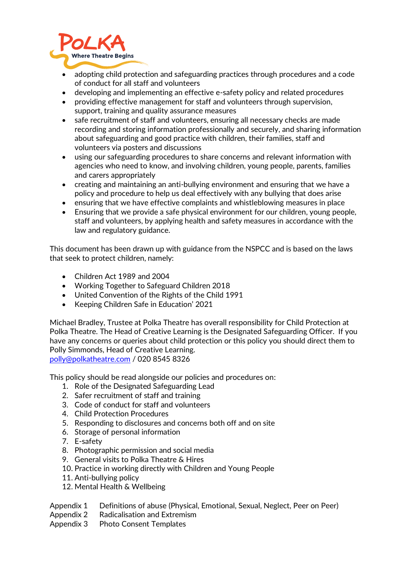

- adopting child protection and safeguarding practices through procedures and a code of conduct for all staff and volunteers
- developing and implementing an effective e-safety policy and related procedures
- providing effective management for staff and volunteers through supervision, support, training and quality assurance measures
- safe recruitment of staff and volunteers, ensuring all necessary checks are made recording and storing information professionally and securely, and sharing information about safeguarding and good practice with children, their families, staff and volunteers via posters and discussions
- using our safeguarding procedures to share concerns and relevant information with agencies who need to know, and involving children, young people, parents, families and carers appropriately
- creating and maintaining an anti-bullying environment and ensuring that we have a policy and procedure to help us deal effectively with any bullying that does arise
- ensuring that we have effective complaints and whistleblowing measures in place
- Ensuring that we provide a safe physical environment for our children, young people, staff and volunteers, by applying health and safety measures in accordance with the law and regulatory guidance.

This document has been drawn up with guidance from the NSPCC and is based on the laws that seek to protect children, namely:

- Children Act 1989 and 2004
- Working Together to Safeguard Children 2018
- United Convention of the Rights of the Child 1991
- Keeping Children Safe in Education' 2021

Michael Bradley, Trustee at Polka Theatre has overall responsibility for Child Protection at Polka Theatre. The Head of Creative Learning is the Designated Safeguarding Officer. If you have any concerns or queries about child protection or this policy you should direct them to Polly Simmonds, Head of Creative Learning. [polly@polkatheatre.com](mailto:polly@polkatheatre.com) / 020 8545 8326

This policy should be read alongside our policies and procedures on:

- 1. Role of the Designated Safeguarding Lead
- 2. Safer recruitment of staff and training
- 3. Code of conduct for staff and volunteers
- 4. Child Protection Procedures
- 5. Responding to disclosures and concerns both off and on site
- 6. Storage of personal information
- 7. E-safety
- 8. Photographic permission and social media
- 9. General visits to Polka Theatre & Hires
- 10. Practice in working directly with Children and Young People
- 11. Anti-bullying policy
- 12. Mental Health & Wellbeing
- Appendix 1 Definitions of abuse (Physical, Emotional, Sexual, Neglect, Peer on Peer)
- Appendix 2 Radicalisation and Extremism

Appendix 3 Photo Consent Templates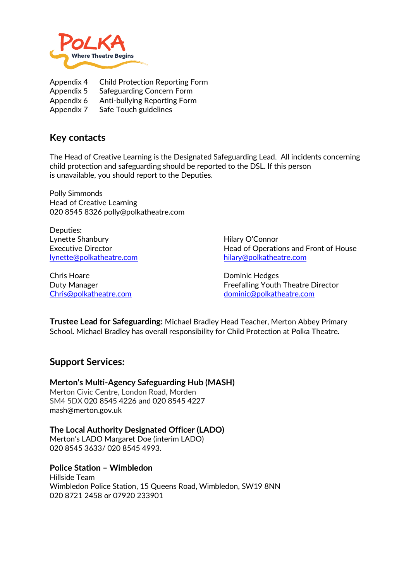

Appendix 4 Child Protection Reporting Form Appendix 5 Safeguarding Concern Form Appendix 6 Anti-bullying Reporting Form

Appendix 7 Safe Touch guidelines

## **Key contacts**

The Head of Creative Learning is the Designated Safeguarding Lead. All incidents concerning child protection and safeguarding should be reported to the DSL. If this person is unavailable, you should report to the Deputies.

Polly Simmonds Head of Creative Learning 020 8545 8326 polly@polkatheatre.com

Deputies: Lynette Shanbury **Hilary O'Connor** [lynette@polkatheatre.com](mailto:lynette@polkatheatre.com) [hilary@polkatheatre.com](mailto:hilary@polkatheatre.com)

Chris Hoare **Dominic Hedges** 

Executive Director **Head of Operations and Front of House** 

Duty Manager **Freefalling Youth Theatre Director** Freefalling Youth Theatre Director [Chris@polkatheatre.com](mailto:Chris@polkatheatre.com) [dominic@polkatheatre.com](mailto:dominic@polkatheatre.com)

**Trustee Lead for Safeguarding:** Michael Bradley Head Teacher, Merton Abbey Primary School**.** Michael Bradley has overall responsibility for Child Protection at Polka Theatre.

## **Support Services:**

**Merton's Multi-Agency Safeguarding Hub (MASH)**

Merton Civic Centre, London Road, Morden SM4 5DX 020 8545 4226 and 020 8545 4227 mash@merton.gov.uk

**The Local Authority Designated Officer (LADO)** Merton's LADO Margaret Doe (interim LADO)

020 8545 3633/ 020 8545 4993.

#### **Police Station – Wimbledon**

Hillside Team Wimbledon Police Station, 15 Queens Road, Wimbledon, SW19 8NN 020 8721 2458 or 07920 233901